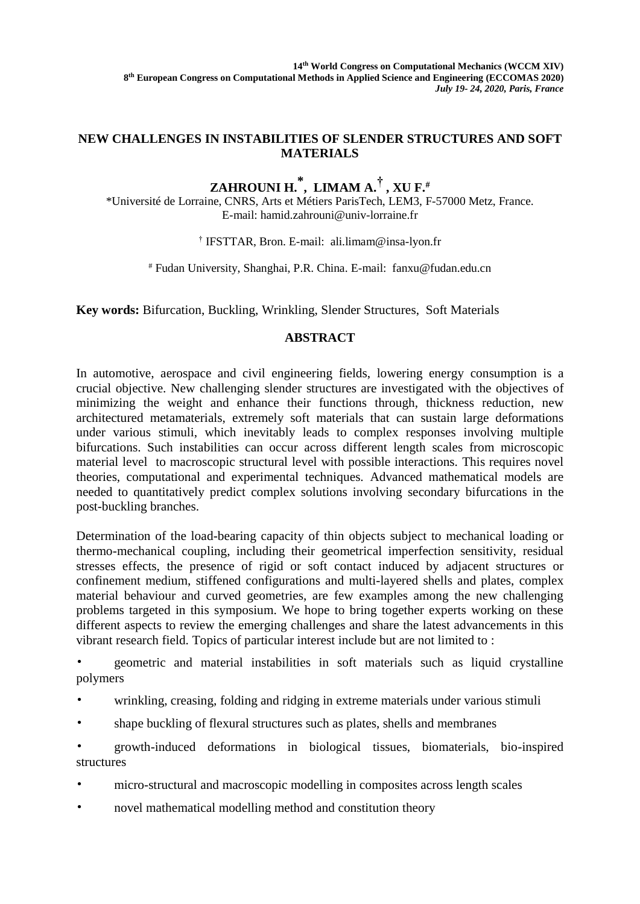## **NEW CHALLENGES IN INSTABILITIES OF SLENDER STRUCTURES AND SOFT MATERIALS**

## **ZAHROUNI H. \* , LIMAM A.† , XU F.#**

\*Université de Lorraine, CNRS, Arts et Métiers ParisTech, LEM3, F-57000 Metz, France. E-mail: [hamid.zahrouni@univ-lorraine.fr](mailto:hamid.zahrouni@univ-lorraine.fr)

† IFSTTAR, Bron. E-mail: ali.limam@insa-lyon.fr

# Fudan University, Shanghai, P.R. China. E-mail: fanxu@fudan.edu.cn

**Key words:** Bifurcation, Buckling, Wrinkling, Slender Structures, Soft Materials

## **ABSTRACT**

In automotive, aerospace and civil engineering fields, lowering energy consumption is a crucial objective. New challenging slender structures are investigated with the objectives of minimizing the weight and enhance their functions through, thickness reduction, new architectured metamaterials, extremely soft materials that can sustain large deformations under various stimuli, which inevitably leads to complex responses involving multiple bifurcations. Such instabilities can occur across different length scales from microscopic material level to macroscopic structural level with possible interactions. This requires novel theories, computational and experimental techniques. Advanced mathematical models are needed to quantitatively predict complex solutions involving secondary bifurcations in the post-buckling branches.

Determination of the load-bearing capacity of thin objects subject to mechanical loading or thermo-mechanical coupling, including their geometrical imperfection sensitivity, residual stresses effects, the presence of rigid or soft contact induced by adjacent structures or confinement medium, stiffened configurations and multi-layered shells and plates, complex material behaviour and curved geometries, are few examples among the new challenging problems targeted in this symposium. We hope to bring together experts working on these different aspects to review the emerging challenges and share the latest advancements in this vibrant research field. Topics of particular interest include but are not limited to :

• geometric and material instabilities in soft materials such as liquid crystalline polymers

- wrinkling, creasing, folding and ridging in extreme materials under various stimuli
- shape buckling of flexural structures such as plates, shells and membranes

• growth-induced deformations in biological tissues, biomaterials, bio-inspired structures

- micro-structural and macroscopic modelling in composites across length scales
- novel mathematical modelling method and constitution theory